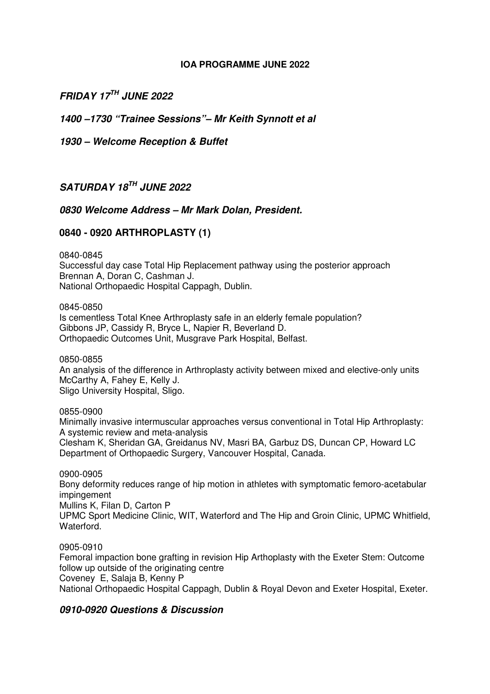### **IOA PROGRAMME JUNE 2022**

*FRIDAY 17TH JUNE 2022* 

*1400 –1730 "Trainee Sessions"– Mr Keith Synnott et al* 

*1930 – Welcome Reception & Buffet* 

## *SATURDAY 18TH JUNE 2022*

## *0830 Welcome Address – Mr Mark Dolan, President.*

## **0840 - 0920 ARTHROPLASTY (1)**

0840-0845 Successful day case Total Hip Replacement pathway using the posterior approach Brennan A, Doran C, Cashman J. National Orthopaedic Hospital Cappagh, Dublin.

0845-0850

Is cementless Total Knee Arthroplasty safe in an elderly female population? Gibbons JP, Cassidy R, Bryce L, Napier R, Beverland D. Orthopaedic Outcomes Unit, Musgrave Park Hospital, Belfast.

0850-0855

An analysis of the difference in Arthroplasty activity between mixed and elective-only units McCarthy A, Fahey E, Kelly J. Sligo University Hospital, Sligo.

0855-0900

Minimally invasive intermuscular approaches versus conventional in Total Hip Arthroplasty: A systemic review and meta-analysis

Clesham K, Sheridan GA, Greidanus NV, Masri BA, Garbuz DS, Duncan CP, Howard LC Department of Orthopaedic Surgery, Vancouver Hospital, Canada.

0900-0905

Bony deformity reduces range of hip motion in athletes with symptomatic femoro-acetabular impingement Mullins K, Filan D, Carton P UPMC Sport Medicine Clinic, WIT, Waterford and The Hip and Groin Clinic, UPMC Whitfield, Waterford.

0905-0910

Femoral impaction bone grafting in revision Hip Arthoplasty with the Exeter Stem: Outcome follow up outside of the originating centre Coveney E, Salaja B, Kenny P National Orthopaedic Hospital Cappagh, Dublin & Royal Devon and Exeter Hospital, Exeter.

### *0910-0920 Questions & Discussion*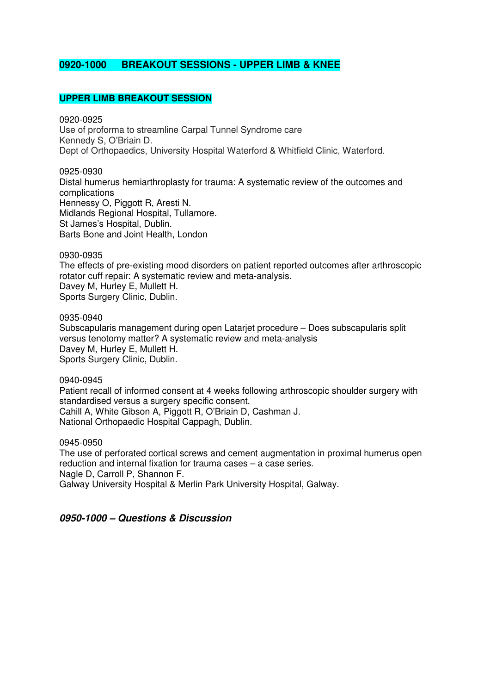## **0920-1000 BREAKOUT SESSIONS - UPPER LIMB & KNEE**

### **UPPER LIMB BREAKOUT SESSION**

0920-0925 Use of proforma to streamline Carpal Tunnel Syndrome care Kennedy S, O'Briain D. Dept of Orthopaedics, University Hospital Waterford & Whitfield Clinic, Waterford.

#### 0925-0930

Distal humerus hemiarthroplasty for trauma: A systematic review of the outcomes and complications Hennessy O, Piggott R, Aresti N. Midlands Regional Hospital, Tullamore. St James's Hospital, Dublin. Barts Bone and Joint Health, London

#### 0930-0935

The effects of pre-existing mood disorders on patient reported outcomes after arthroscopic rotator cuff repair: A systematic review and meta-analysis. Davey M, Hurley E, Mullett H. Sports Surgery Clinic, Dublin.

#### 0935-0940

Subscapularis management during open Latarjet procedure – Does subscapularis split versus tenotomy matter? A systematic review and meta-analysis Davey M, Hurley E, Mullett H. Sports Surgery Clinic, Dublin.

#### 0940-0945

Patient recall of informed consent at 4 weeks following arthroscopic shoulder surgery with standardised versus a surgery specific consent. Cahill A, White Gibson A, Piggott R, O'Briain D, Cashman J. National Orthopaedic Hospital Cappagh, Dublin.

#### 0945-0950

The use of perforated cortical screws and cement augmentation in proximal humerus open reduction and internal fixation for trauma cases – a case series. Nagle D, Carroll P, Shannon F. Galway University Hospital & Merlin Park University Hospital, Galway.

### *0950-1000 – Questions & Discussion*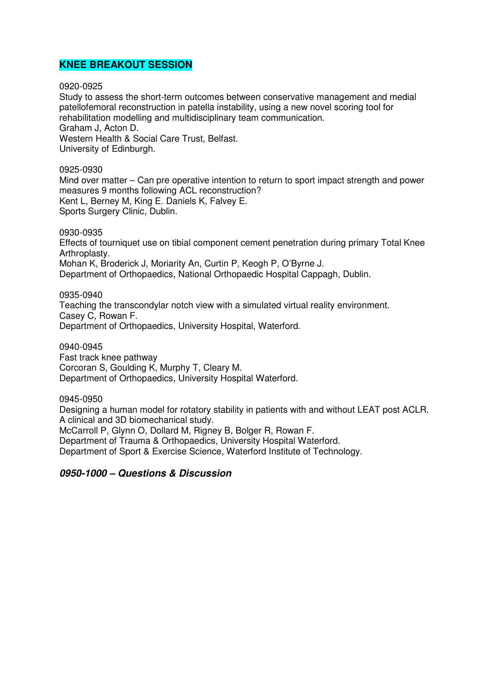### **KNEE BREAKOUT SESSION**

0920-0925

Study to assess the short-term outcomes between conservative management and medial patellofemoral reconstruction in patella instability, using a new novel scoring tool for rehabilitation modelling and multidisciplinary team communication. Graham J, Acton D. Western Health & Social Care Trust, Belfast. University of Edinburgh.

0925-0930

Mind over matter – Can pre operative intention to return to sport impact strength and power measures 9 months following ACL reconstruction? Kent L, Berney M, King E. Daniels K, Falvey E. Sports Surgery Clinic, Dublin.

0930-0935

Effects of tourniquet use on tibial component cement penetration during primary Total Knee Arthroplasty.

Mohan K, Broderick J, Moriarity An, Curtin P, Keogh P, O'Byrne J. Department of Orthopaedics, National Orthopaedic Hospital Cappagh, Dublin.

0935-0940

Teaching the transcondylar notch view with a simulated virtual reality environment. Casey C, Rowan F. Department of Orthopaedics, University Hospital, Waterford.

0940-0945 Fast track knee pathway Corcoran S, Goulding K, Murphy T, Cleary M. Department of Orthopaedics, University Hospital Waterford.

0945-0950

Designing a human model for rotatory stability in patients with and without LEAT post ACLR. A clinical and 3D biomechanical study.

McCarroll P, Glynn O, Dollard M, Rigney B, Bolger R, Rowan F.

Department of Trauma & Orthopaedics, University Hospital Waterford.

Department of Sport & Exercise Science, Waterford Institute of Technology.

### *0950-1000 – Questions & Discussion*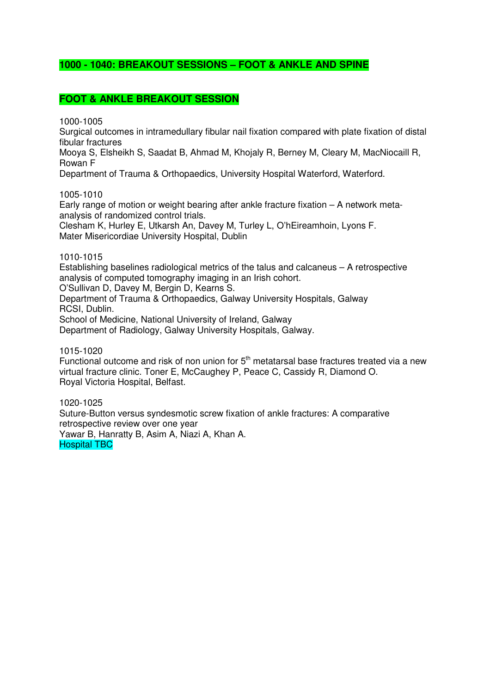## **1000 - 1040: BREAKOUT SESSIONS – FOOT & ANKLE AND SPINE**

## **FOOT & ANKLE BREAKOUT SESSION**

1000-1005

Surgical outcomes in intramedullary fibular nail fixation compared with plate fixation of distal fibular fractures

Mooya S, Elsheikh S, Saadat B, Ahmad M, Khojaly R, Berney M, Cleary M, MacNiocaill R, Rowan F

Department of Trauma & Orthopaedics, University Hospital Waterford, Waterford.

1005-1010

Early range of motion or weight bearing after ankle fracture fixation – A network metaanalysis of randomized control trials.

Clesham K, Hurley E, Utkarsh An, Davey M, Turley L, O'hEireamhoin, Lyons F. Mater Misericordiae University Hospital, Dublin

#### 1010-1015

Establishing baselines radiological metrics of the talus and calcaneus – A retrospective analysis of computed tomography imaging in an Irish cohort.

O'Sullivan D, Davey M, Bergin D, Kearns S.

Department of Trauma & Orthopaedics, Galway University Hospitals, Galway RCSI, Dublin.

School of Medicine, National University of Ireland, Galway

Department of Radiology, Galway University Hospitals, Galway.

1015-1020

Functional outcome and risk of non union for  $5<sup>th</sup>$  metatarsal base fractures treated via a new virtual fracture clinic. Toner E, McCaughey P, Peace C, Cassidy R, Diamond O. Royal Victoria Hospital, Belfast.

1020-1025 Suture-Button versus syndesmotic screw fixation of ankle fractures: A comparative retrospective review over one year Yawar B, Hanratty B, Asim A, Niazi A, Khan A. Hospital TBC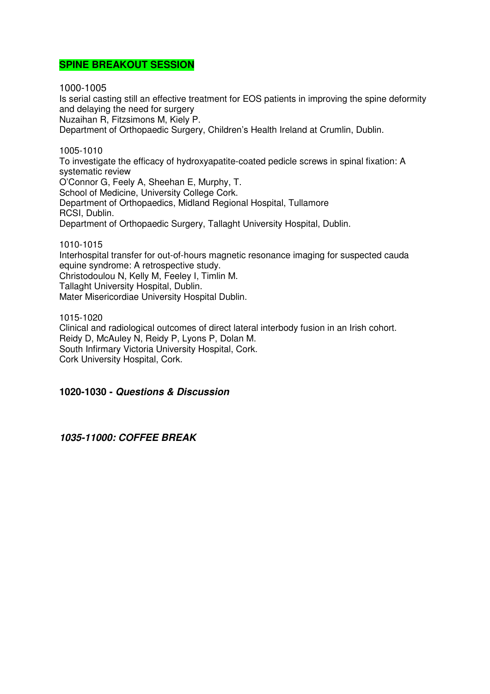### **SPINE BREAKOUT SESSION**

1000-1005

Is serial casting still an effective treatment for EOS patients in improving the spine deformity and delaying the need for surgery Nuzaihan R, Fitzsimons M, Kiely P.

Department of Orthopaedic Surgery, Children's Health Ireland at Crumlin, Dublin.

1005-1010 To investigate the efficacy of hydroxyapatite-coated pedicle screws in spinal fixation: A systematic review O'Connor G, Feely A, Sheehan E, Murphy, T. School of Medicine, University College Cork. Department of Orthopaedics, Midland Regional Hospital, Tullamore RCSI, Dublin. Department of Orthopaedic Surgery, Tallaght University Hospital, Dublin.

1010-1015

Interhospital transfer for out-of-hours magnetic resonance imaging for suspected cauda equine syndrome: A retrospective study. Christodoulou N, Kelly M, Feeley I, Timlin M. Tallaght University Hospital, Dublin. Mater Misericordiae University Hospital Dublin.

1015-1020 Clinical and radiological outcomes of direct lateral interbody fusion in an Irish cohort. Reidy D, McAuley N, Reidy P, Lyons P, Dolan M. South Infirmary Victoria University Hospital, Cork. Cork University Hospital, Cork.

### **1020-1030 -** *Questions & Discussion*

*1035-11000: COFFEE BREAK*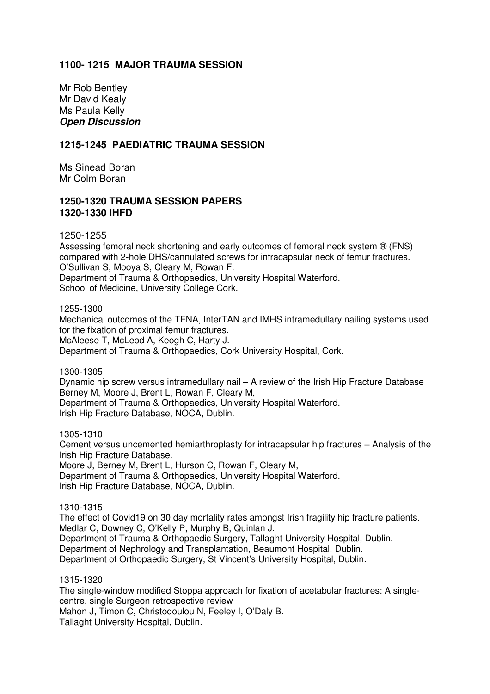## **1100- 1215 MAJOR TRAUMA SESSION**

Mr Rob Bentley Mr David Kealy Ms Paula Kelly *Open Discussion* 

### **1215-1245 PAEDIATRIC TRAUMA SESSION**

Ms Sinead Boran Mr Colm Boran

### **1250-1320 TRAUMA SESSION PAPERS 1320-1330 IHFD**

1250-1255

Assessing femoral neck shortening and early outcomes of femoral neck system ® (FNS) compared with 2-hole DHS/cannulated screws for intracapsular neck of femur fractures. O'Sullivan S, Mooya S, Cleary M, Rowan F. Department of Trauma & Orthopaedics, University Hospital Waterford.

School of Medicine, University College Cork.

1255-1300

Mechanical outcomes of the TFNA, InterTAN and IMHS intramedullary nailing systems used for the fixation of proximal femur fractures.

McAleese T, McLeod A, Keogh C, Harty J.

Department of Trauma & Orthopaedics, Cork University Hospital, Cork.

1300-1305

Dynamic hip screw versus intramedullary nail – A review of the Irish Hip Fracture Database Berney M, Moore J, Brent L, Rowan F, Cleary M, Department of Trauma & Orthopaedics, University Hospital Waterford. Irish Hip Fracture Database, NOCA, Dublin.

1305-1310

Cement versus uncemented hemiarthroplasty for intracapsular hip fractures – Analysis of the Irish Hip Fracture Database. Moore J, Berney M, Brent L, Hurson C, Rowan F, Cleary M, Department of Trauma & Orthopaedics, University Hospital Waterford. Irish Hip Fracture Database, NOCA, Dublin.

1310-1315

The effect of Covid19 on 30 day mortality rates amongst Irish fragility hip fracture patients. Medlar C, Downey C, O'Kelly P, Murphy B, Quinlan J. Department of Trauma & Orthopaedic Surgery, Tallaght University Hospital, Dublin. Department of Nephrology and Transplantation, Beaumont Hospital, Dublin. Department of Orthopaedic Surgery, St Vincent's University Hospital, Dublin.

1315-1320

The single-window modified Stoppa approach for fixation of acetabular fractures: A singlecentre, single Surgeon retrospective review Mahon J, Timon C, Christodoulou N, Feeley I, O'Daly B. Tallaght University Hospital, Dublin.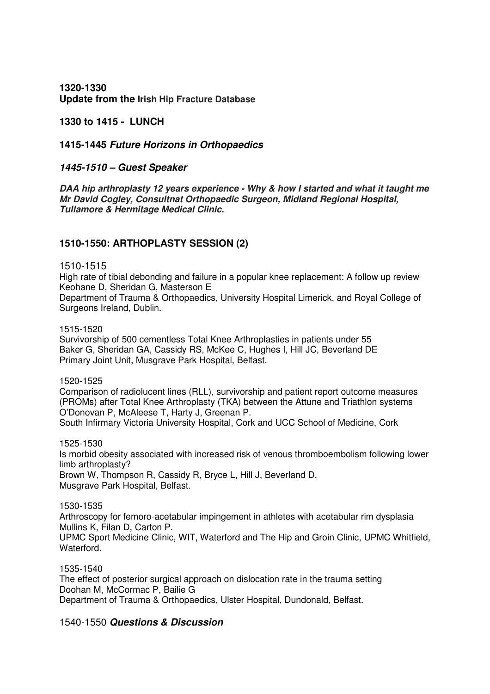**1320-1330 Update from the Irish Hip Fracture Database**

**1330 to 1415 - LUNCH** 

**1415-1445** *Future Horizons in Orthopaedics* 

### *1445-1510 – Guest Speaker*

*DAA hip arthroplasty 12 years experience - Why & how I started and what it taught me Mr David Cogley, Consultnat Orthopaedic Surgeon, Midland Regional Hospital, Tullamore & Hermitage Medical Clinic.* 

## **1510-1550: ARTHOPLASTY SESSION (2)**

#### 1510-1515

High rate of tibial debonding and failure in a popular knee replacement: A follow up review Keohane D, Sheridan G, Masterson E

Department of Trauma & Orthopaedics, University Hospital Limerick, and Royal College of Surgeons Ireland, Dublin.

#### 1515-1520

Survivorship of 500 cementless Total Knee Arthroplasties in patients under 55 Baker G, Sheridan GA, Cassidy RS, McKee C, Hughes I, Hill JC, Beverland DE Primary Joint Unit, Musgrave Park Hospital, Belfast.

1520-1525

Comparison of radiolucent lines (RLL), survivorship and patient report outcome measures (PROMs) after Total Knee Arthroplasty (TKA) between the Attune and Triathlon systems O'Donovan P, McAleese T, Harty J, Greenan P. South Infirmary Victoria University Hospital, Cork and UCC School of Medicine, Cork

1525-1530 Is morbid obesity associated with increased risk of venous thromboembolism following lower limb arthroplasty? Brown W, Thompson R, Cassidy R, Bryce L, Hill J, Beverland D. Musgrave Park Hospital, Belfast.

### 1530-1535

Arthroscopy for femoro-acetabular impingement in athletes with acetabular rim dysplasia Mullins K, Filan D, Carton P.

UPMC Sport Medicine Clinic, WIT, Waterford and The Hip and Groin Clinic, UPMC Whitfield, Waterford.

1535-1540 The effect of posterior surgical approach on dislocation rate in the trauma setting Doohan M, McCormac P, Bailie G Department of Trauma & Orthopaedics, Ulster Hospital, Dundonald, Belfast.

### 1540-1550 *Questions & Discussion*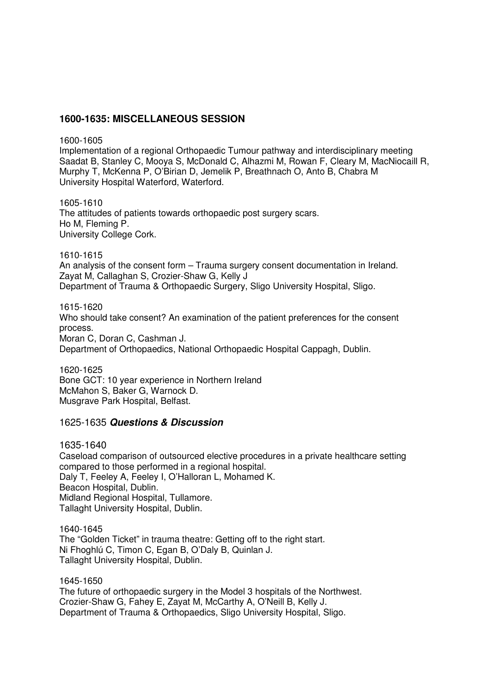### **1600-1635: MISCELLANEOUS SESSION**

1600-1605

Implementation of a regional Orthopaedic Tumour pathway and interdisciplinary meeting Saadat B, Stanley C, Mooya S, McDonald C, Alhazmi M, Rowan F, Cleary M, MacNiocaill R, Murphy T, McKenna P, O'Birian D, Jemelik P, Breathnach O, Anto B, Chabra M University Hospital Waterford, Waterford.

1605-1610 The attitudes of patients towards orthopaedic post surgery scars. Ho M, Fleming P. University College Cork.

1610-1615 An analysis of the consent form – Trauma surgery consent documentation in Ireland. Zayat M, Callaghan S, Crozier-Shaw G, Kelly J Department of Trauma & Orthopaedic Surgery, Sligo University Hospital, Sligo.

1615-1620 Who should take consent? An examination of the patient preferences for the consent process. Moran C, Doran C, Cashman J. Department of Orthopaedics, National Orthopaedic Hospital Cappagh, Dublin.

1620-1625 Bone GCT: 10 year experience in Northern Ireland McMahon S, Baker G, Warnock D. Musgrave Park Hospital, Belfast.

### 1625-1635 *Questions & Discussion*

1635-1640 Caseload comparison of outsourced elective procedures in a private healthcare setting compared to those performed in a regional hospital. Daly T, Feeley A, Feeley I, O'Halloran L, Mohamed K. Beacon Hospital, Dublin. Midland Regional Hospital, Tullamore. Tallaght University Hospital, Dublin.

1640-1645 The "Golden Ticket" in trauma theatre: Getting off to the right start. Ni Fhoghlú C, Timon C, Egan B, O'Daly B, Quinlan J. Tallaght University Hospital, Dublin.

1645-1650 The future of orthopaedic surgery in the Model 3 hospitals of the Northwest. Crozier-Shaw G, Fahey E, Zayat M, McCarthy A, O'Neill B, Kelly J. Department of Trauma & Orthopaedics, Sligo University Hospital, Sligo.